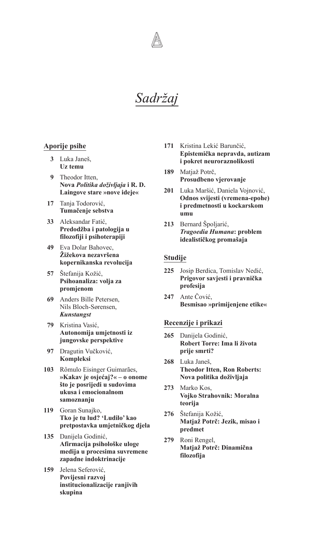*Sadržaj*

# **Aporije psihe**

- **3** Luka Janeš, **Uz temu**
- **9** Theodor Itten, **Nova** *Politika doživljaja* **i R. D. Laingove stare »nove ideje«**
- **17** Tanja Todorović, **Tumačenje sebstva**
- **33** Aleksandar Fatić, **Predodžba i patologija u filozofiji i psihoterapiji**
- **49** Eva Dolar Bahovec, **Žižekova nezavršena kopernikanska revolucija**
- **57** Štefanija Kožić, **Psihoanaliza: volja za promjenom**
- **69** Anders Bille Petersen, Nils Bloch-Sørensen, *Kunstangst*
- **79** Kristina Vasić, **Autonomija umjetnosti iz jungovske perspektive**
- **97** Dragutin Vučković, **Kompleksi**
- **103** Rômulo Eisinger Guimarães, **»Kakav je osjećaj?« – o onome što je posrijedi u sudovima ukusa i emocionalnom samoznanju**
- **119** Goran Sunajko, **Tko je tu lud? 'Ludilo' kao pretpostavka umjetničkog djela**
- **135** Danijela Godinić, **Afirmacija psihološke uloge medija u procesima suvremene zapadne indoktrinacije**
- **159** Jelena Seferović, **Povijesni razvoj institucionalizacije ranjivih skupina**
- **171** Kristina Lekić Barunčić, **Epistemička nepravda, autizam i pokret neuroraznolikosti**
- **189** Matjaž Potrč, **Prosudbeno vjerovanje**
- **201** Luka Maršić, Daniela Vojnović, **Odnos svijesti (vremena-epohe) i predmetnosti u kockarskom umu**
- **213** Bernard Špoljarić, *Tragoedia Humana***: problem idealističkog promašaja**

## **Studije**

- **225** Josip Berdica, Tomislav Nedić, **Prigovor savjesti i pravnička profesija**
- **247** Ante Čović, **Besmisao »primijenjene etike«**

### **Recenzije i prikazi**

- **265** Danijela Godinić, **Robert Torre: Ima li života prije smrti?**
- **268** Luka Janeš, **Theodor Itten, Ron Roberts: Nova politika doživljaja**
- **273** Marko Kos, **Vojko Strahovnik: Moralna teorija**
- **276** Štefanija Kožić, **Matjaž Potrč: Jezik, misao i predmet**
- **279** Roni Rengel, **Matjaž Potrč: Dinamična filozofija**